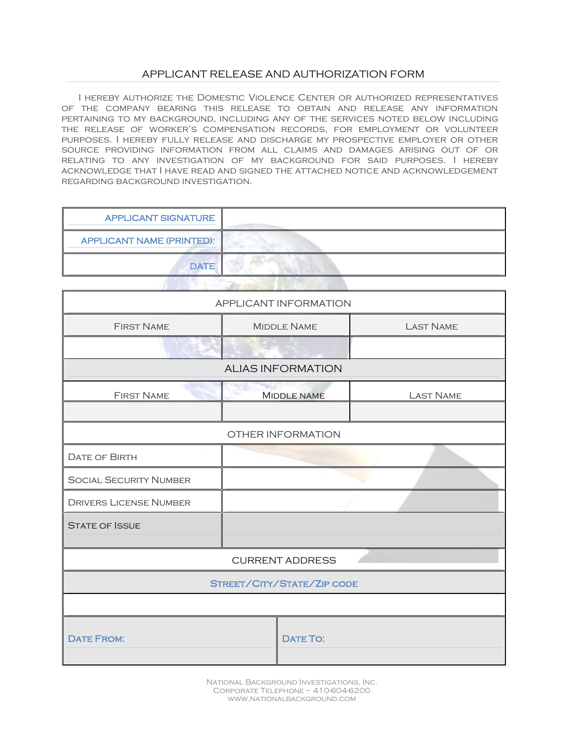## APPLICANT RELEASE AND AUTHORIZATION FORM

I hereby authorize the Domestic Violence Center or authorized representatives of the company bearing this release to obtain and release any information pertaining to my background, including any of the services noted below including the release of worker's compensation records, for employment or volunteer purposes. I hereby fully release and discharge my prospective employer or other source providing information from all claims and damages arising out of or relating to any investigation of my background for said purposes. I hereby acknowledge that I have read and signed the attached notice and acknowledgement regarding background investigation.

| <b>APPLICANT SIGNATURE</b>       |  |  |  |
|----------------------------------|--|--|--|
| <b>APPLICANT NAME (PRINTED):</b> |  |  |  |
| <b>DATE</b>                      |  |  |  |
|                                  |  |  |  |

| APPLICANT INFORMATION         |  |                            |                  |
|-------------------------------|--|----------------------------|------------------|
| <b>FIRST NAME</b>             |  | <b>MIDDLE NAME</b>         | <b>LAST NAME</b> |
|                               |  |                            |                  |
|                               |  | <b>ALIAS INFORMATION</b>   |                  |
| <b>FIRST NAME</b>             |  | <b>MIDDLE NAME</b>         | <b>LAST NAME</b> |
|                               |  |                            |                  |
|                               |  | OTHER INFORMATION          |                  |
| <b>DATE OF BIRTH</b>          |  |                            |                  |
| <b>SOCIAL SECURITY NUMBER</b> |  |                            |                  |
| <b>DRIVERS LICENSE NUMBER</b> |  |                            |                  |
| <b>STATE OF ISSUE</b>         |  |                            |                  |
|                               |  |                            |                  |
|                               |  | <b>CURRENT ADDRESS</b>     |                  |
|                               |  | STREET/CITY/STATE/ZIP CODE |                  |
|                               |  |                            |                  |
| <b>DATE FROM:</b>             |  | <b>DATE TO:</b>            |                  |

National Background Investigations, Inc. Corporate Telephone ~ 410-604-6200 www.nationalbackground.com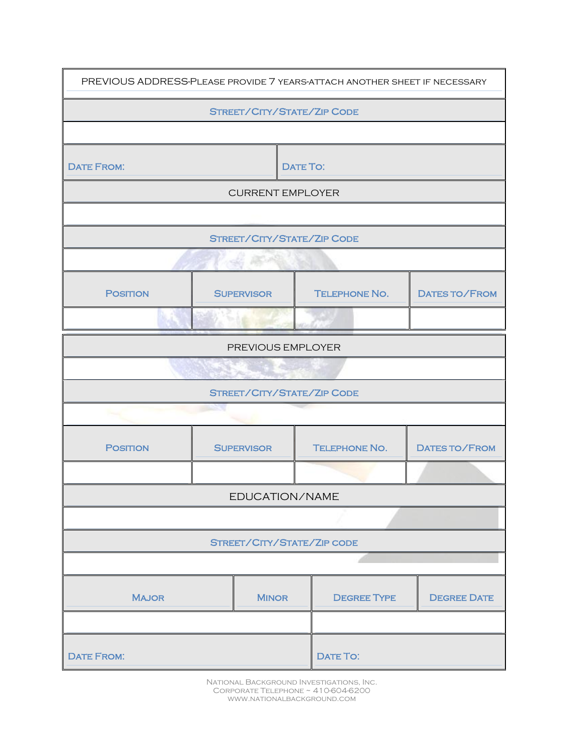| PREVIOUS ADDRESS-PLEASE PROVIDE 7 YEARS-ATTACH ANOTHER SHEET IF NECESSARY |                   |                         |                 |                            |                      |
|---------------------------------------------------------------------------|-------------------|-------------------------|-----------------|----------------------------|----------------------|
| STREET/CITY/STATE/ZIP CODE                                                |                   |                         |                 |                            |                      |
|                                                                           |                   |                         |                 |                            |                      |
| <b>DATE FROM:</b>                                                         |                   |                         | <b>DATE TO:</b> |                            |                      |
|                                                                           |                   | <b>CURRENT EMPLOYER</b> |                 |                            |                      |
|                                                                           |                   |                         |                 |                            |                      |
|                                                                           |                   |                         |                 | STREET/CITY/STATE/ZIP CODE |                      |
|                                                                           |                   |                         |                 |                            |                      |
| <b>POSITION</b>                                                           |                   | <b>SUPERVISOR</b>       |                 | <b>TELEPHONE NO.</b>       | <b>DATES TO/FROM</b> |
|                                                                           |                   |                         |                 |                            |                      |
|                                                                           | PREVIOUS EMPLOYER |                         |                 |                            |                      |
|                                                                           |                   |                         |                 |                            |                      |
| STREET/CITY/STATE/ZIP CODE                                                |                   |                         |                 |                            |                      |
|                                                                           |                   |                         |                 |                            |                      |
| <b>POSITION</b>                                                           | <b>SUPERVISOR</b> |                         |                 | <b>TELEPHONE NO.</b>       | DATES TO/FROM        |
|                                                                           |                   |                         |                 |                            |                      |
| EDUCATION/NAME                                                            |                   |                         |                 |                            |                      |
|                                                                           |                   |                         |                 |                            |                      |
| STREET/CITY/STATE/ZIP CODE                                                |                   |                         |                 |                            |                      |
|                                                                           |                   |                         |                 |                            |                      |
| <b>MAJOR</b>                                                              |                   | <b>MINOR</b>            |                 | <b>DEGREE TYPE</b>         | <b>DEGREE DATE</b>   |
|                                                                           |                   |                         |                 |                            |                      |
| <b>DATE FROM:</b>                                                         |                   |                         |                 | DATE TO:                   |                      |

National Background Investigations, Inc. Corporate Telephone ~ 410-604-6200 www.nationalbackground.com